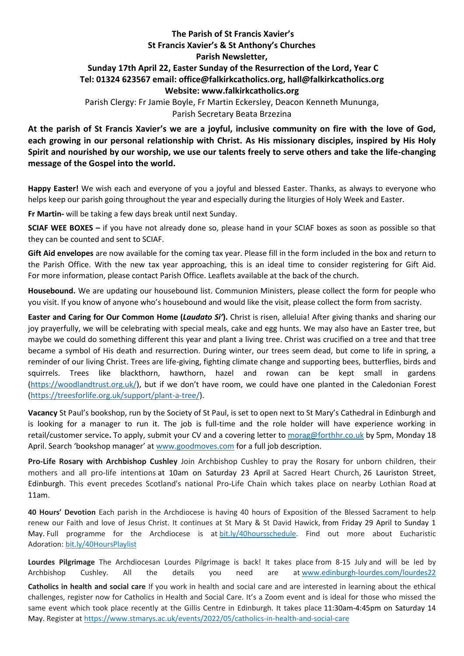## **The Parish of St Francis Xavier's St Francis Xavier's & St Anthony's Churches Parish Newsletter, Sunday 17th April 22, Easter Sunday of the Resurrection of the Lord, Year C Tel: 01324 623567 email: office@falkirkcatholics.org, [hall@falkirkcatholics.org](mailto:hall@falkirkcatholics.org) Website: [www.falkirkcatholics.org](http://www.falkirkcatholics.org/)**  Parish Clergy: Fr Jamie Boyle, Fr Martin Eckersley, Deacon Kenneth Mununga, Parish Secretary Beata Brzezina

**At the parish of St Francis Xavier's we are a joyful, inclusive community on fire with the love of God, each growing in our personal relationship with Christ. As His missionary disciples, inspired by His Holy Spirit and nourished by our worship, we use our talents freely to serve others and take the life-changing message of the Gospel into the world.** 

**Happy Easter!** We wish each and everyone of you a joyful and blessed Easter. Thanks, as always to everyone who helps keep our parish going throughout the year and especially during the liturgies of Holy Week and Easter.

**Fr Martin-** will be taking a few days break until next Sunday.

**SCIAF WEE BOXES –** if you have not already done so, please hand in your SCIAF boxes as soon as possible so that they can be counted and sent to SCIAF.

**Gift Aid envelopes** are now available for the coming tax year. Please fill in the form included in the box and return to the Parish Office. With the new tax year approaching, this is an ideal time to consider registering for Gift Aid. For more information, please contact Parish Office. Leaflets available at the back of the church.

**Housebound.** We are updating our housebound list. Communion Ministers, please collect the form for people who you visit. If you know of anyone who's housebound and would like the visit, please collect the form from sacristy.

**Easter and Caring for Our Common Home (***Laudato Si'***).** Christ is risen, alleluia! After giving thanks and sharing our joy prayerfully, we will be celebrating with special meals, cake and egg hunts. We may also have an Easter tree, but maybe we could do something different this year and plant a living tree. Christ was crucified on a tree and that tree became a symbol of His death and resurrection. During winter, our trees seem dead, but come to life in spring, a reminder of our living Christ. Trees are life-giving, fighting climate change and supporting bees, butterflies, birds and squirrels. Trees like blackthorn, hawthorn, hazel and rowan can be kept small in gardens [\(https://woodlandtrust.org.uk/](https://woodlandtrust.org.uk/)), but if we don't have room, we could have one planted in the Caledonian Forest [\(https://treesforlife.org.uk/support/plant-a-tree/\)](https://treesforlife.org.uk/support/plant-a-tree/).

**Vacancy** St Paul's bookshop, run by the Society of St Paul, is set to open next to St Mary's Cathedral in Edinburgh and is looking for a manager to run it. The job is full-time and the role holder will have experience working in retail/customer service**.** To apply, submit your CV and a covering letter to [morag@forthhr.co.uk](https://mailto:morag@forthhr.co.uk/) by 5pm, Monday 18 April. Search 'bookshop manager' at [www.goodmoves.com](http://www.goodmoves.com/) for a full job description.

**Pro-Life Rosary with Archbishop Cushley** Join Archbishop Cushley to pray the Rosary for unborn children, their mothers and all pro-life intentions at 10am on Saturday 23 April at Sacred Heart Church, 26 Lauriston Street, Edinburgh. This event precedes Scotland's national Pro-Life Chain which takes place on nearby Lothian Road at 11am.

**40 Hours' Devotion** Each parish in the Archdiocese is having 40 hours of Exposition of the Blessed Sacrament to help renew our Faith and love of Jesus Christ. It continues at St Mary & St David Hawick, from Friday 29 April to Sunday 1 May. Full programme for the Archdiocese is at [bit.ly/40hoursschedule.](https://bit.ly/40hoursschedule?fbclid=IwAR2SjJ2jLYhcQumxKK24uHJHDu0y-uda3HFzPBQ4uxFkH3KVV6pbMOMH8xU) Find out more about Eucharistic Adoration: [bit.ly/40HoursPlaylist](https://www.youtube.com/playlist?list=PLQv_xMj23KQhTlXah0pBiYjsZDFx2grae)

**Lourdes Pilgrimage** The Archdiocesan Lourdes Pilgrimage is back! It takes place from 8-15 July and will be led by Archbishop Cushley. All the details you need are at [www.edinburgh-lourdes.com/lourdes22](http://www.edinburgh-lourdes.com/lourdes22)

**Catholics in health and social care** If you work in health and social care and are interested in learning about the ethical challenges, register now for Catholics in Health and Social Care. It's a Zoom event and is ideal for those who missed the same event which took place recently at the Gillis Centre in Edinburgh. It takes place 11:30am-4:45pm on Saturday 14 May. Register at <https://www.stmarys.ac.uk/events/2022/05/catholics-in-health-and-social-care>